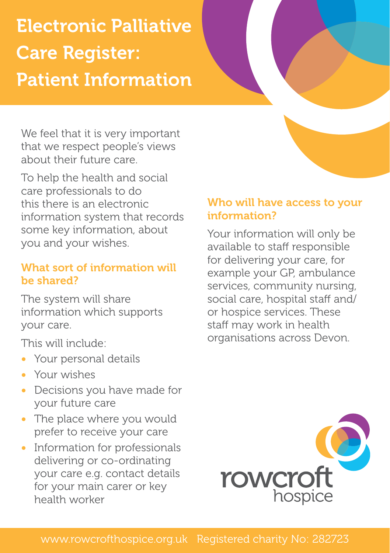# Electronic Palliative Care Register: Patient Information

We feel that it is very important that we respect people's views about their future care.

To help the health and social care professionals to do this there is an electronic information system that records some key information, about you and your wishes.

# What sort of information will be shared?

The system will share information which supports your care.

This will include:

- Your personal details
- Your wishes
- Decisions you have made for your future care
- The place where you would prefer to receive your care
- Information for professionals delivering or co-ordinating your care e.g. contact details for your main carer or key health worker

# Who will have access to your information?

Your information will only be available to staff responsible for delivering your care, for example your GP, ambulance services, community nursing, social care, hospital staff and/ or hospice services. These staff may work in health organisations across Devon.